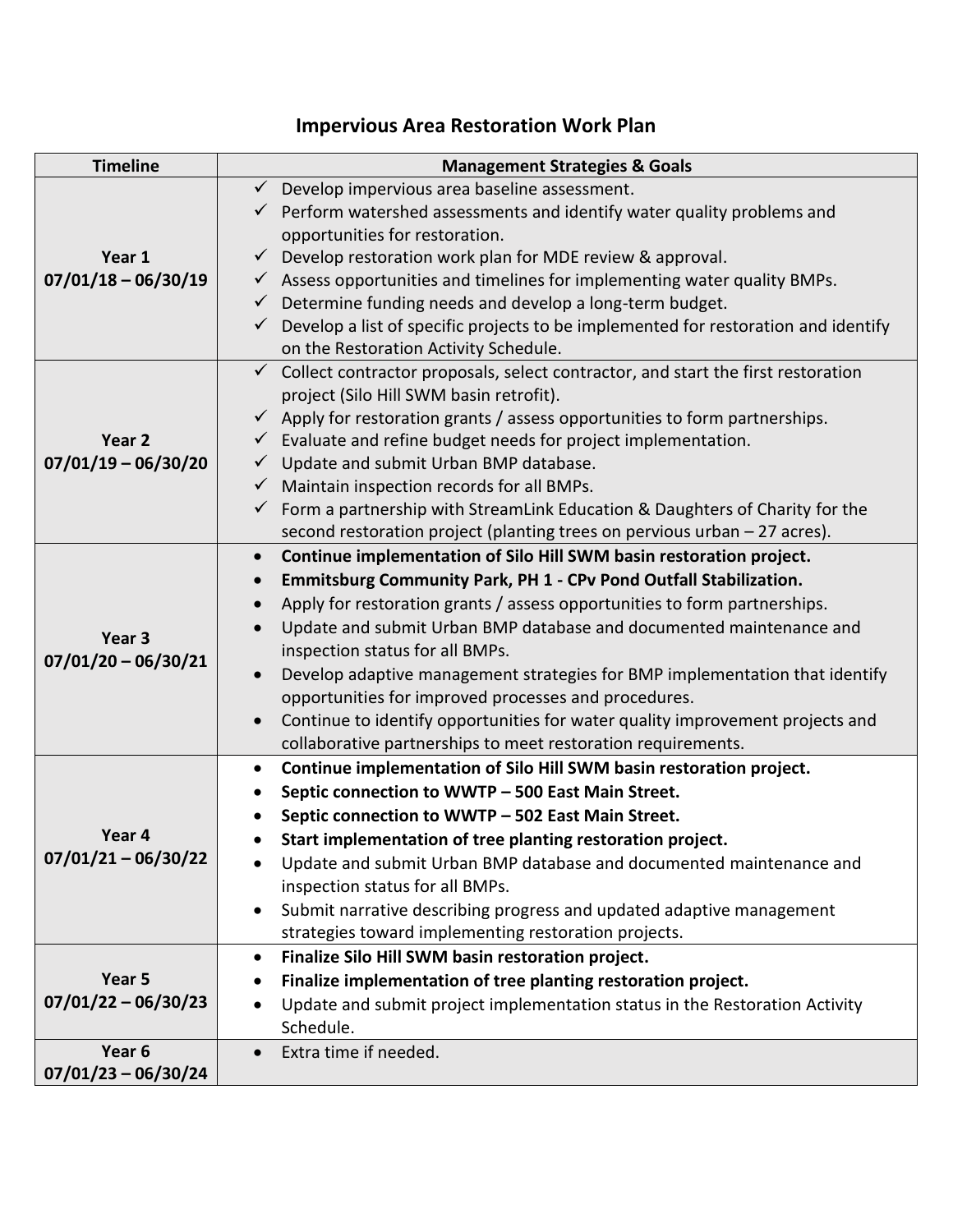# **Impervious Area Restoration Work Plan**

| <b>Timeline</b>                 | <b>Management Strategies &amp; Goals</b>                                                        |
|---------------------------------|-------------------------------------------------------------------------------------------------|
| Year 1<br>$07/01/18 - 06/30/19$ | Develop impervious area baseline assessment.<br>$\checkmark$                                    |
|                                 | $\checkmark$ Perform watershed assessments and identify water quality problems and              |
|                                 | opportunities for restoration.                                                                  |
|                                 | $\checkmark$ Develop restoration work plan for MDE review & approval.                           |
|                                 | $\checkmark$ Assess opportunities and timelines for implementing water quality BMPs.            |
|                                 | Determine funding needs and develop a long-term budget.<br>$\checkmark$                         |
|                                 | $\checkmark$ Develop a list of specific projects to be implemented for restoration and identify |
|                                 | on the Restoration Activity Schedule.                                                           |
| Year 2<br>$07/01/19 - 06/30/20$ | $\checkmark$ Collect contractor proposals, select contractor, and start the first restoration   |
|                                 | project (Silo Hill SWM basin retrofit).                                                         |
|                                 | $\checkmark$ Apply for restoration grants / assess opportunities to form partnerships.          |
|                                 | $\checkmark$ Evaluate and refine budget needs for project implementation.                       |
|                                 | $\checkmark$ Update and submit Urban BMP database.                                              |
|                                 | $\checkmark$ Maintain inspection records for all BMPs.                                          |
|                                 | $\checkmark$ Form a partnership with StreamLink Education & Daughters of Charity for the        |
|                                 | second restoration project (planting trees on pervious urban - 27 acres).                       |
| Year 3<br>$07/01/20 - 06/30/21$ | Continue implementation of Silo Hill SWM basin restoration project.                             |
|                                 | <b>Emmitsburg Community Park, PH 1 - CPv Pond Outfall Stabilization.</b>                        |
|                                 | Apply for restoration grants / assess opportunities to form partnerships.                       |
|                                 | Update and submit Urban BMP database and documented maintenance and                             |
|                                 | inspection status for all BMPs.                                                                 |
|                                 | Develop adaptive management strategies for BMP implementation that identify                     |
|                                 | opportunities for improved processes and procedures.                                            |
|                                 | Continue to identify opportunities for water quality improvement projects and                   |
|                                 | collaborative partnerships to meet restoration requirements.                                    |
| Year 4<br>$07/01/21 - 06/30/22$ | Continue implementation of Silo Hill SWM basin restoration project.<br>$\bullet$                |
|                                 | Septic connection to WWTP - 500 East Main Street.                                               |
|                                 | Septic connection to WWTP - 502 East Main Street.                                               |
|                                 | Start implementation of tree planting restoration project.                                      |
|                                 | Update and submit Urban BMP database and documented maintenance and                             |
|                                 | inspection status for all BMPs.                                                                 |
|                                 | Submit narrative describing progress and updated adaptive management<br>$\bullet$               |
|                                 | strategies toward implementing restoration projects.                                            |
| Year 5<br>$07/01/22 - 06/30/23$ | Finalize Silo Hill SWM basin restoration project.<br>$\bullet$                                  |
|                                 | Finalize implementation of tree planting restoration project.                                   |
|                                 | Update and submit project implementation status in the Restoration Activity                     |
|                                 | Schedule.                                                                                       |
| Year 6                          | Extra time if needed.                                                                           |
| $07/01/23 - 06/30/24$           |                                                                                                 |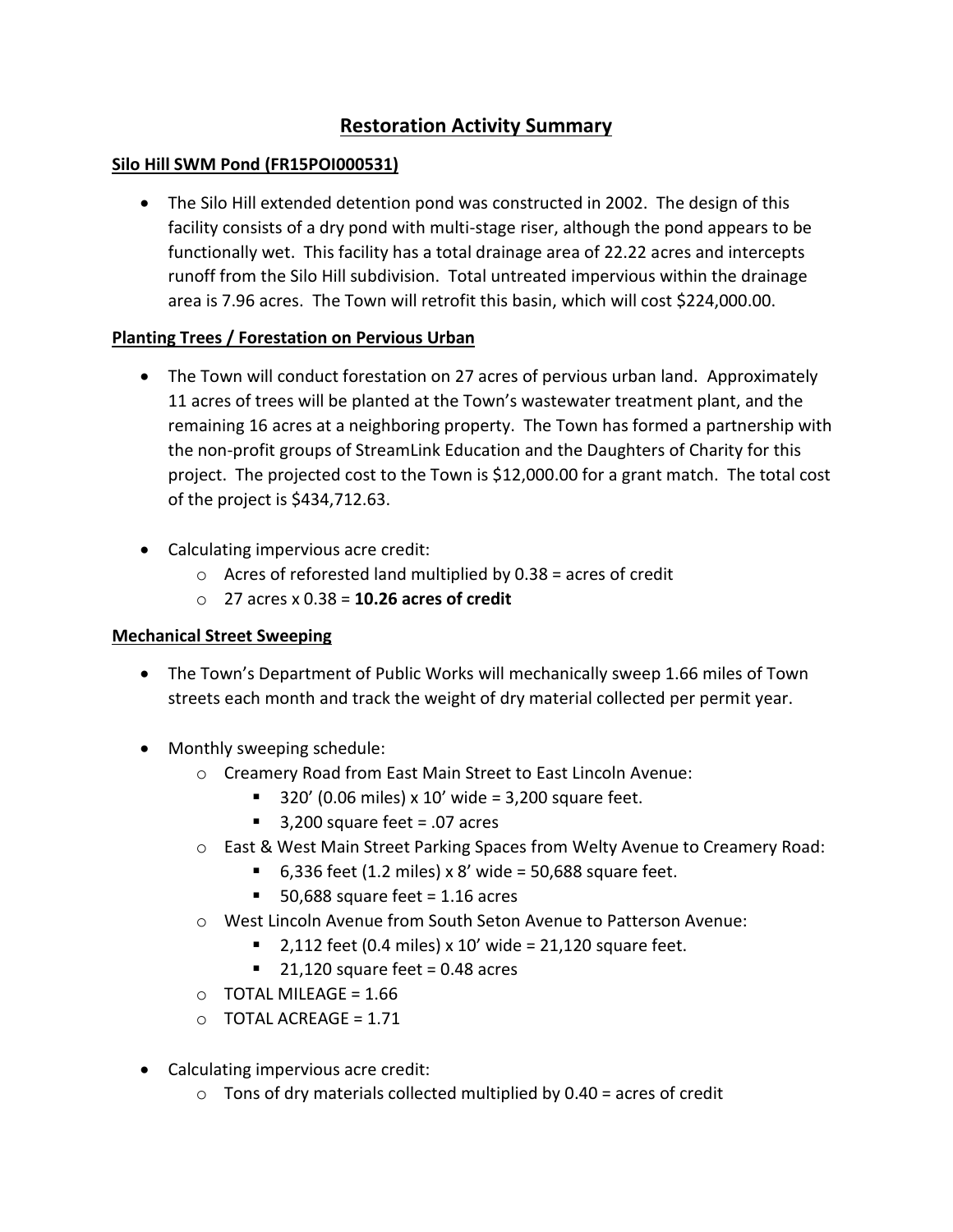## **Restoration Activity Summary**

### **Silo Hill SWM Pond (FR15POI000531)**

 The Silo Hill extended detention pond was constructed in 2002. The design of this facility consists of a dry pond with multi-stage riser, although the pond appears to be functionally wet. This facility has a total drainage area of 22.22 acres and intercepts runoff from the Silo Hill subdivision. Total untreated impervious within the drainage area is 7.96 acres. The Town will retrofit this basin, which will cost \$224,000.00.

### **Planting Trees / Forestation on Pervious Urban**

- The Town will conduct forestation on 27 acres of pervious urban land. Approximately 11 acres of trees will be planted at the Town's wastewater treatment plant, and the remaining 16 acres at a neighboring property. The Town has formed a partnership with the non-profit groups of StreamLink Education and the Daughters of Charity for this project. The projected cost to the Town is \$12,000.00 for a grant match. The total cost of the project is \$434,712.63.
- Calculating impervious acre credit:
	- $\circ$  Acres of reforested land multiplied by 0.38 = acres of credit
	- o 27 acres x 0.38 = **10.26 acres of credit**

### **Mechanical Street Sweeping**

- The Town's Department of Public Works will mechanically sweep 1.66 miles of Town streets each month and track the weight of dry material collected per permit year.
- Monthly sweeping schedule:
	- o Creamery Road from East Main Street to East Lincoln Avenue:
		- $\blacksquare$  320' (0.06 miles) x 10' wide = 3,200 square feet.
		- $\blacksquare$  3,200 square feet = .07 acres
	- o East & West Main Street Parking Spaces from Welty Avenue to Creamery Road:
		- 6,336 feet (1.2 miles) x 8' wide = 50,688 square feet.
		- $\blacksquare$  50,688 square feet = 1.16 acres
	- o West Lincoln Avenue from South Seton Avenue to Patterson Avenue:
		- $\blacksquare$  2,112 feet (0.4 miles) x 10' wide = 21,120 square feet.
			- $\blacksquare$  21,120 square feet = 0.48 acres
	- $O$  TOTAL MILEAGE = 1.66
	- $\circ$  TOTAL ACREAGE = 1.71
- Calculating impervious acre credit:
	- $\circ$  Tons of dry materials collected multiplied by 0.40 = acres of credit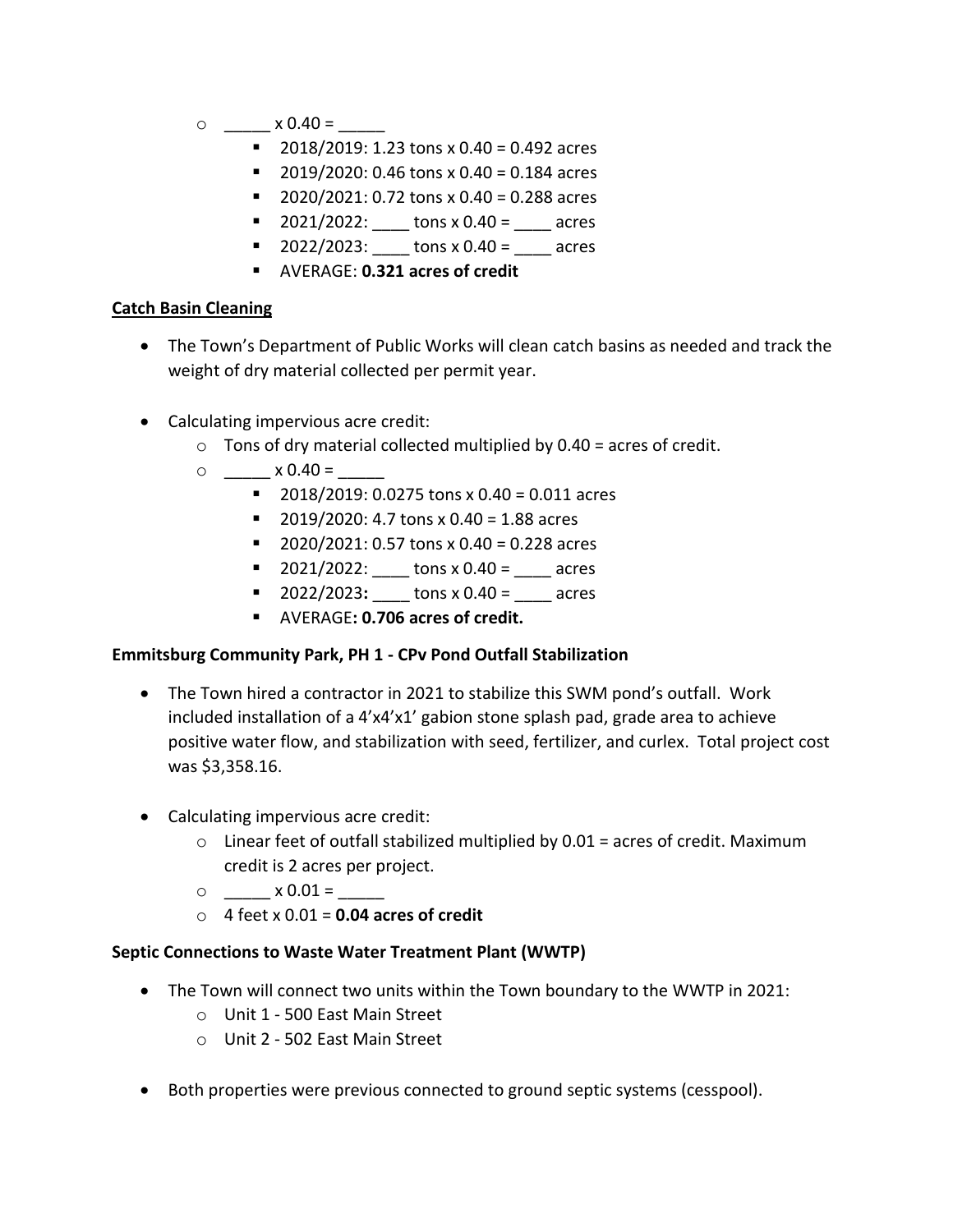- $\circ$  \_\_\_\_\_\_\_\_ x 0.40 =
	- $\blacksquare$  2018/2019: 1.23 tons x 0.40 = 0.492 acres
	- $\blacksquare$  2019/2020: 0.46 tons x 0.40 = 0.184 acres
	- $\blacksquare$  2020/2021: 0.72 tons x 0.40 = 0.288 acres
	- $\blacksquare$  2021/2022: tons x 0.40 = \_\_\_\_ acres
	- $\blacksquare$  2022/2023: \_\_\_\_ tons x 0.40 = \_\_\_\_ acres
	- AVERAGE: **0.321 acres of credit**

### **Catch Basin Cleaning**

- The Town's Department of Public Works will clean catch basins as needed and track the weight of dry material collected per permit year.
- Calculating impervious acre credit:
	- $\circ$  Tons of dry material collected multiplied by 0.40 = acres of credit.
	- $\circ$   $\times$  0.40 =
		- $\blacksquare$  2018/2019: 0.0275 tons x 0.40 = 0.011 acres
		- $\blacksquare$  2019/2020: 4.7 tons x 0.40 = 1.88 acres
		- $\blacksquare$  2020/2021: 0.57 tons x 0.40 = 0.228 acres
		- $\blacksquare$  2021/2022: \_\_\_\_ tons x 0.40 = \_\_\_\_ acres
		- $\blacksquare$  2022/2023:  $\blacksquare$  tons x 0.40 = \_\_\_\_ acres
		- AVERAGE**: 0.706 acres of credit.**

### **Emmitsburg Community Park, PH 1 - CPv Pond Outfall Stabilization**

- The Town hired a contractor in 2021 to stabilize this SWM pond's outfall. Work included installation of a 4'x4'x1' gabion stone splash pad, grade area to achieve positive water flow, and stabilization with seed, fertilizer, and curlex. Total project cost was \$3,358.16.
- Calculating impervious acre credit:
	- $\circ$  Linear feet of outfall stabilized multiplied by 0.01 = acres of credit. Maximum credit is 2 acres per project.
	- $\circ$   $\times 0.01 =$
	- o 4 feet x 0.01 = **0.04 acres of credit**

### **Septic Connections to Waste Water Treatment Plant (WWTP)**

- The Town will connect two units within the Town boundary to the WWTP in 2021:
	- o Unit 1 500 East Main Street
	- o Unit 2 502 East Main Street
- Both properties were previous connected to ground septic systems (cesspool).